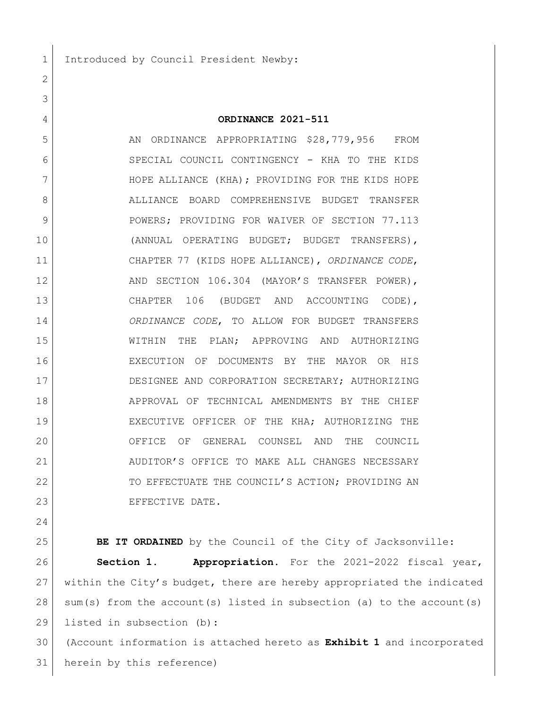1 Introduced by Council President Newby:

## **ORDINANCE 2021-511**

5 5 AN ORDINANCE APPROPRIATING \$28,779,956 FROM SPECIAL COUNCIL CONTINGENCY - KHA TO THE KIDS 7 HOPE ALLIANCE (KHA); PROVIDING FOR THE KIDS HOPE 8 ALLIANCE BOARD COMPREHENSIVE BUDGET TRANSFER 9 POWERS; PROVIDING FOR WAIVER OF SECTION 77.113 (ANNUAL OPERATING BUDGET; BUDGET TRANSFERS), CHAPTER 77 (KIDS HOPE ALLIANCE), *ORDINANCE CODE*, 12 AND SECTION 106.304 (MAYOR'S TRANSFER POWER), CHAPTER 106 (BUDGET AND ACCOUNTING CODE), *ORDINANCE CODE*, TO ALLOW FOR BUDGET TRANSFERS WITHIN THE PLAN; APPROVING AND AUTHORIZING EXECUTION OF DOCUMENTS BY THE MAYOR OR HIS DESIGNEE AND CORPORATION SECRETARY; AUTHORIZING APPROVAL OF TECHNICAL AMENDMENTS BY THE CHIEF EXECUTIVE OFFICER OF THE KHA; AUTHORIZING THE OFFICE OF GENERAL COUNSEL AND THE COUNCIL AUDITOR'S OFFICE TO MAKE ALL CHANGES NECESSARY 22 TO EFFECTUATE THE COUNCIL'S ACTION; PROVIDING AN 23 EFFECTIVE DATE.

**BE IT ORDAINED** by the Council of the City of Jacksonville: **Section 1. Appropriation.** For the 2021-2022 fiscal year, within the City's budget, there are hereby appropriated the indicated sum(s) from the account(s) listed in subsection (a) to the account(s) listed in subsection (b):

 (Account information is attached hereto as **Exhibit 1** and incorporated herein by this reference)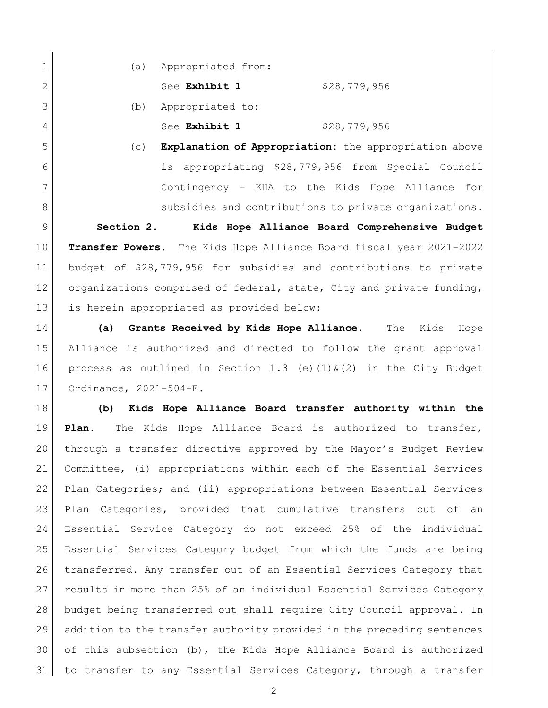1 (a) Appropriated from: 2 See **Exhibit 1** \$28,779,956 (b) Appropriated to: 4 See **Exhibit 1** \$28,779,956

 (c) **Explanation of Appropriation:** the appropriation above is appropriating \$28,779,956 from Special Council Contingency – KHA to the Kids Hope Alliance for 8 subsidies and contributions to private organizations.

 **Section 2. Kids Hope Alliance Board Comprehensive Budget Transfer Powers.** The Kids Hope Alliance Board fiscal year 2021-2022 budget of \$28,779,956 for subsidies and contributions to private 12 organizations comprised of federal, state, City and private funding, is herein appropriated as provided below:

 **(a) Grants Received by Kids Hope Alliance.** The Kids Hope Alliance is authorized and directed to follow the grant approval 16 process as outlined in Section 1.3 (e)(1)  $\frac{1}{2}$  (2) in the City Budget Ordinance, 2021-504-E.

 **(b) Kids Hope Alliance Board transfer authority within the Plan.** The Kids Hope Alliance Board is authorized to transfer, through a transfer directive approved by the Mayor's Budget Review Committee, (i) appropriations within each of the Essential Services Plan Categories; and (ii) appropriations between Essential Services Plan Categories, provided that cumulative transfers out of an Essential Service Category do not exceed 25% of the individual Essential Services Category budget from which the funds are being transferred. Any transfer out of an Essential Services Category that 27 results in more than 25% of an individual Essential Services Category budget being transferred out shall require City Council approval. In addition to the transfer authority provided in the preceding sentences of this subsection (b), the Kids Hope Alliance Board is authorized to transfer to any Essential Services Category, through a transfer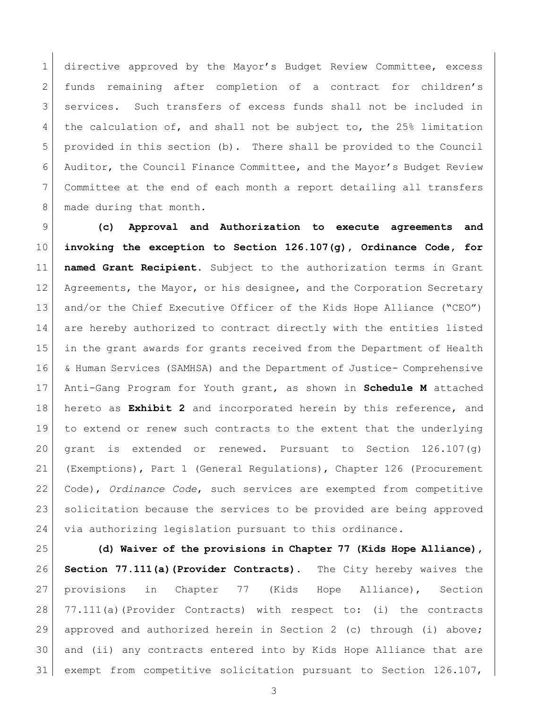directive approved by the Mayor's Budget Review Committee, excess funds remaining after completion of a contract for children's services. Such transfers of excess funds shall not be included in 4 the calculation of, and shall not be subject to, the 25% limitation provided in this section (b). There shall be provided to the Council Auditor, the Council Finance Committee, and the Mayor's Budget Review Committee at the end of each month a report detailing all transfers 8 made during that month.

 **(c) Approval and Authorization to execute agreements and invoking the exception to Section 126.107(g), Ordinance Code, for named Grant Recipient**. Subject to the authorization terms in Grant 12 Agreements, the Mayor, or his designee, and the Corporation Secretary and/or the Chief Executive Officer of the Kids Hope Alliance ("CEO") are hereby authorized to contract directly with the entities listed in the grant awards for grants received from the Department of Health & Human Services (SAMHSA) and the Department of Justice- Comprehensive Anti-Gang Program for Youth grant, as shown in **Schedule M** attached hereto as **Exhibit 2** and incorporated herein by this reference, and to extend or renew such contracts to the extent that the underlying 20 grant is extended or renewed. Pursuant to Section  $126.107(q)$  (Exemptions), Part 1 (General Regulations), Chapter 126 (Procurement Code), *Ordinance Code*, such services are exempted from competitive solicitation because the services to be provided are being approved via authorizing legislation pursuant to this ordinance.

 **(d) Waiver of the provisions in Chapter 77 (Kids Hope Alliance), Section 77.111(a)(Provider Contracts).** The City hereby waives the provisions in Chapter 77 (Kids Hope Alliance), Section 28 77.111(a)(Provider Contracts) with respect to: (i) the contracts approved and authorized herein in Section 2 (c) through (i) above; and (ii) any contracts entered into by Kids Hope Alliance that are exempt from competitive solicitation pursuant to Section 126.107,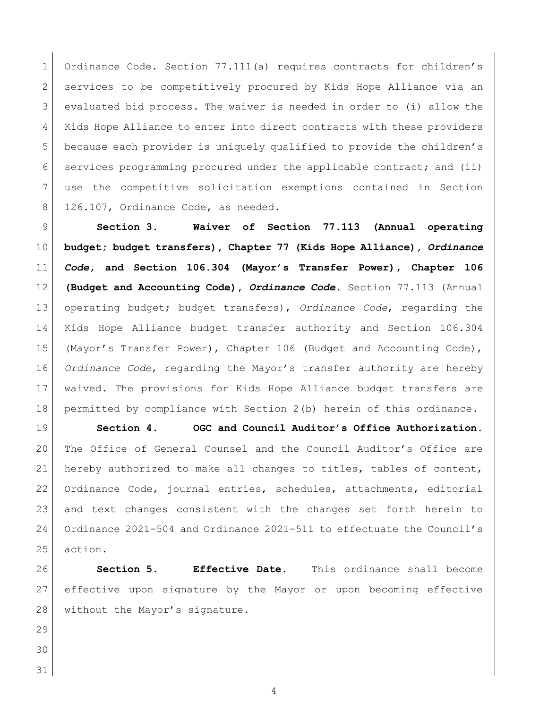1 Ordinance Code. Section 77.111(a) requires contracts for children's services to be competitively procured by Kids Hope Alliance via an evaluated bid process. The waiver is needed in order to (i) allow the Kids Hope Alliance to enter into direct contracts with these providers because each provider is uniquely qualified to provide the children's services programming procured under the applicable contract; and (ii) use the competitive solicitation exemptions contained in Section 8 126.107, Ordinance Code, as needed.

 **Section 3. Waiver of Section 77.113 (Annual operating budget; budget transfers), Chapter 77 (Kids Hope Alliance),** *Ordinance Code***, and Section 106.304 (Mayor's Transfer Power), Chapter 106 (Budget and Accounting Code),** *Ordinance Code***.** Section 77.113 (Annual operating budget; budget transfers), *Ordinance Code*, regarding the Kids Hope Alliance budget transfer authority and Section 106.304 (Mayor's Transfer Power), Chapter 106 (Budget and Accounting Code), *Ordinance Code*, regarding the Mayor's transfer authority are hereby waived. The provisions for Kids Hope Alliance budget transfers are permitted by compliance with Section 2(b) herein of this ordinance.

 **Section 4. OGC and Council Auditor's Office Authorization.**  20 | The Office of General Counsel and the Council Auditor's Office are hereby authorized to make all changes to titles, tables of content, Ordinance Code, journal entries, schedules, attachments, editorial and text changes consistent with the changes set forth herein to Ordinance 2021-504 and Ordinance 2021-511 to effectuate the Council's action.

 **Section 5. Effective Date.** This ordinance shall become effective upon signature by the Mayor or upon becoming effective 28 without the Mayor's signature.